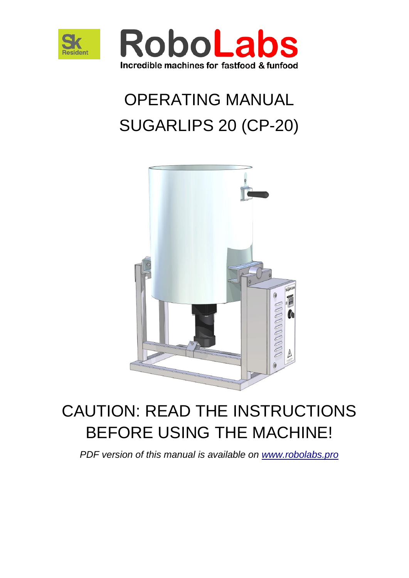



# OPERATING MANUAL SUGARLIPS 20 (CP-20)



# CAUTION: READ THE INSTRUCTIONS BEFORE USING THE MACHINE!

*PDF version of this manual is available on [www.robolabs.pro](http://www.robolabs.pro/)*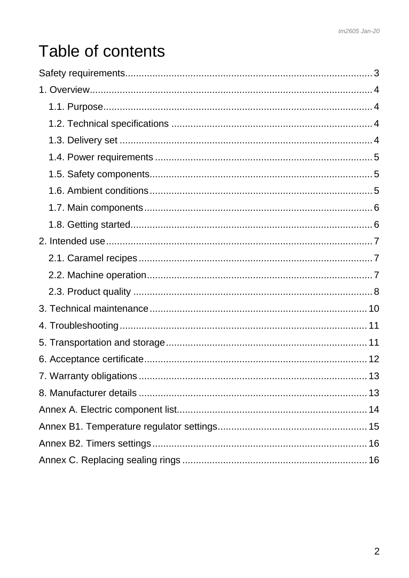# Table of contents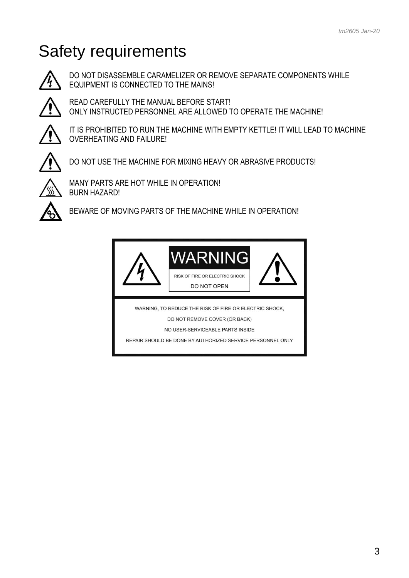# <span id="page-2-0"></span>Safety requirements



DO NOT DISASSEMBLE CARAMELIZER OR REMOVE SEPARATE COMPONENTS WHILE EQUIPMENT IS CONNECTED TO THE MAINS!



READ CAREFULLY THE MANUAL BEFORE START! ONLY INSTRUCTED PERSONNEL ARE ALLOWED TO OPERATE THE MACHINE!



IT IS PROHIBITED TO RUN THE MACHINE WITH EMPTY KETTLE! IT WILL LEAD TO MACHINE OVERHEATING AND FAILURE!



DO NOT USE THE MACHINE FOR MIXING HEAVY OR ABRASIVE PRODUCTS!



MANY PARTS ARE HOT WHILE IN OPERATION! BURN HAZARD!



BEWARE OF MOVING PARTS OF THE MACHINE WHILE IN OPERATION!

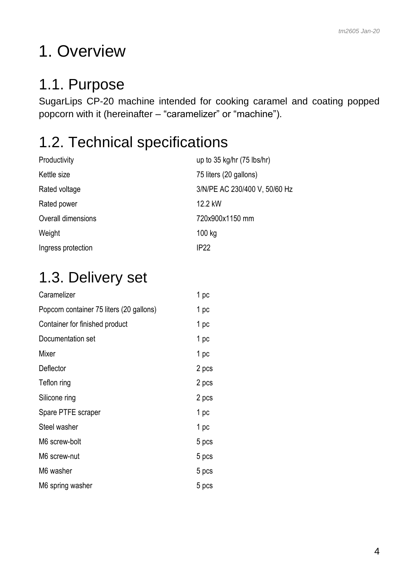# <span id="page-3-0"></span>1. Overview

### <span id="page-3-1"></span>1.1. Purpose

SugarLips CP-20 machine intended for cooking caramel and coating popped popcorn with it (hereinafter – "caramelizer" or "machine").

### <span id="page-3-2"></span>1.2. Technical specifications

| Productivity       | up to $35$ kg/hr $(75$ lbs/hr) |
|--------------------|--------------------------------|
| Kettle size        | 75 liters (20 gallons)         |
| Rated voltage      | 3/N/PE AC 230/400 V, 50/60 Hz  |
| Rated power        | 12.2 kW                        |
| Overall dimensions | 720x900x1150 mm                |
| Weight             | 100 kg                         |
| Ingress protection | IP <sub>22</sub>               |

### <span id="page-3-3"></span>1.3. Delivery set

| Caramelizer                              | 1 pc  |
|------------------------------------------|-------|
| Popcorn container 75 liters (20 gallons) | 1 pc  |
| Container for finished product           | 1 pc  |
| Documentation set                        | 1 pc  |
| Mixer                                    | 1 pc  |
| Deflector                                | 2 pcs |
| Teflon ring                              | 2 pcs |
| Silicone ring                            | 2 pcs |
| Spare PTFE scraper                       | 1 pc  |
| Steel washer                             | 1 pc  |
| M6 screw-bolt                            | 5 pcs |
| M6 screw-nut                             | 5 pcs |
| M6 washer                                | 5 pcs |
| M6 spring washer                         | 5 pcs |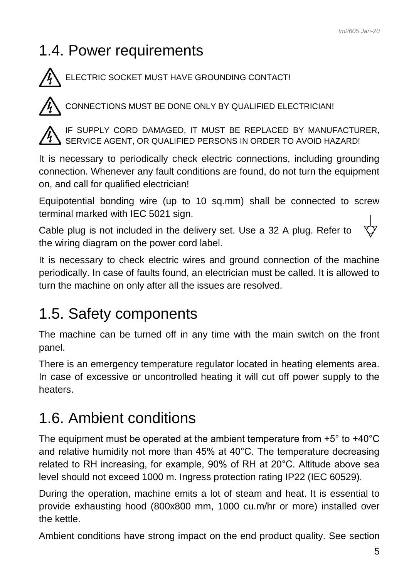### <span id="page-4-0"></span>1.4. Power requirements

ELECTRIC SOCKET MUST HAVE GROUNDING CONTACT!



CONNECTIONS MUST BE DONE ONLY BY QUALIFIED ELECTRICIAN!



IF SUPPLY CORD DAMAGED, IT MUST BE REPLACED BY MANUFACTURER, SERVICE AGENT, OR QUALIFIED PERSONS IN ORDER TO AVOID HAZARD!

It is necessary to periodically check electric connections, including grounding connection. Whenever any fault conditions are found, do not turn the equipment on, and call for qualified electrician!

Equipotential bonding wire (up to 10 sq.mm) shall be connected to screw terminal marked with IEC 5021 sign.

Cable plug is not included in the delivery set. Use a 32 A plug. Refer to the wiring diagram on the power cord label.

It is necessary to check electric wires and ground connection of the machine periodically. In case of faults found, an electrician must be called. It is allowed to turn the machine on only after all the issues are resolved.

### <span id="page-4-1"></span>1.5. Safety components

The machine can be turned off in any time with the main switch on the front panel.

There is an emergency temperature regulator located in heating elements area. In case of excessive or uncontrolled heating it will cut off power supply to the heaters.

### <span id="page-4-2"></span>1.6. Ambient conditions

The equipment must be operated at the ambient temperature from +5° to +40°C and relative humidity not more than 45% at 40°C. The temperature decreasing related to RH increasing, for example, 90% of RH at 20°C. Altitude above sea level should not exceed 1000 m. Ingress protection rating IP22 (IEC 60529).

During the operation, machine emits a lot of steam and heat. It is essential to provide exhausting hood (800x800 mm, 1000 cu.m/hr or more) installed over the kettle.

Ambient conditions have strong impact on the end product quality. See section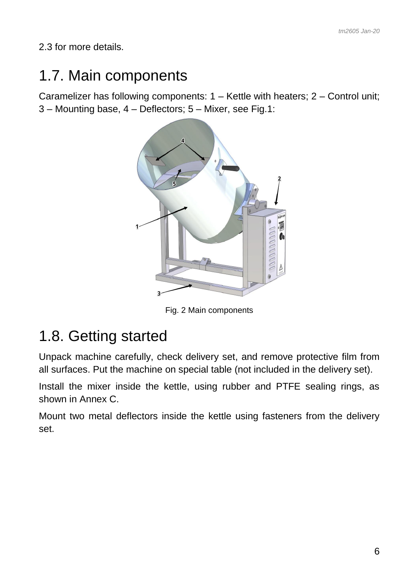<span id="page-5-0"></span>2.3 for more details.

#### 1.7. Main components

Caramelizer has following components: 1 – Kettle with heaters; 2 – Control unit; 3 – Mounting base, 4 – Deflectors; 5 – Mixer, see Fig.1:



Fig. 2 Main components

### <span id="page-5-1"></span>1.8. Getting started

Unpack machine carefully, check delivery set, and remove protective film from all surfaces. Put the machine on special table (not included in the delivery set).

Install the mixer inside the kettle, using rubber and PTFE sealing rings, as shown in Annex C.

Mount two metal deflectors inside the kettle using fasteners from the delivery set.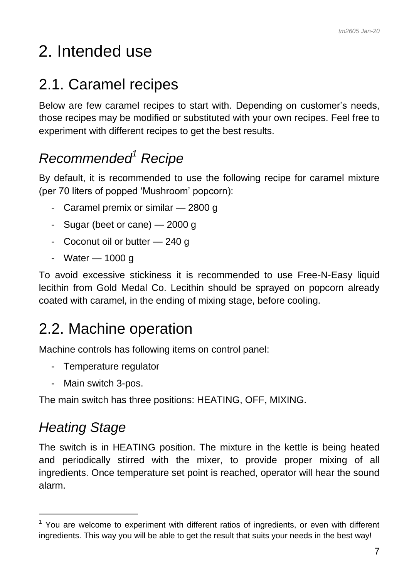# <span id="page-6-0"></span>2. Intended use

### <span id="page-6-1"></span>2.1. Caramel recipes

Below are few caramel recipes to start with. Depending on customer's needs, those recipes may be modified or substituted with your own recipes. Feel free to experiment with different recipes to get the best results.

### *Recommended<sup>1</sup> Recipe*

By default, it is recommended to use the following recipe for caramel mixture (per 70 liters of popped 'Mushroom' popcorn):

- Caramel premix or similar 2800 g
- Sugar (beet or cane) 2000 g
- Coconut oil or butter 240 g
- Water 1000 g

To avoid excessive stickiness it is recommended to use Free-N-Easy liquid lecithin from Gold Medal Co. Lecithin should be sprayed on popcorn already coated with caramel, in the ending of mixing stage, before cooling.

### <span id="page-6-2"></span>2.2. Machine operation

Machine controls has following items on control panel:

- Temperature regulator
- Main switch 3-pos.

The main switch has three positions: HEATING, OFF, MIXING.

#### *Heating Stage*

-

The switch is in HEATING position. The mixture in the kettle is being heated and periodically stirred with the mixer, to provide proper mixing of all ingredients. Once temperature set point is reached, operator will hear the sound alarm.

 $1$  You are welcome to experiment with different ratios of ingredients, or even with different ingredients. This way you will be able to get the result that suits your needs in the best way!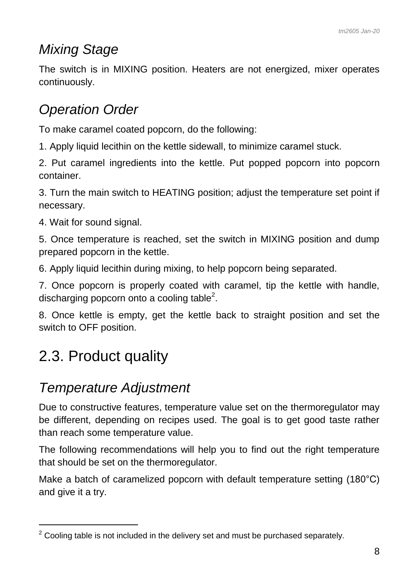#### *Mixing Stage*

The switch is in MIXING position. Heaters are not energized, mixer operates continuously.

#### *Operation Order*

To make caramel coated popcorn, do the following:

1. Apply liquid lecithin on the kettle sidewall, to minimize caramel stuck.

2. Put caramel ingredients into the kettle. Put popped popcorn into popcorn container.

3. Turn the main switch to HEATING position; adjust the temperature set point if necessary.

4. Wait for sound signal.

5. Once temperature is reached, set the switch in MIXING position and dump prepared popcorn in the kettle.

6. Apply liquid lecithin during mixing, to help popcorn being separated.

7. Once popcorn is properly coated with caramel, tip the kettle with handle, discharging popcorn onto a cooling table<sup>2</sup>.

8. Once kettle is empty, get the kettle back to straight position and set the switch to OFF position.

### <span id="page-7-0"></span>2.3. Product quality

 $\overline{a}$ 

#### *Temperature Adjustment*

Due to constructive features, temperature value set on the thermoregulator may be different, depending on recipes used. The goal is to get good taste rather than reach some temperature value.

The following recommendations will help you to find out the right temperature that should be set on the thermoregulator.

Make a batch of caramelized popcorn with default temperature setting (180<sup>°</sup>C) and give it a try.

 $2$  Cooling table is not included in the delivery set and must be purchased separately.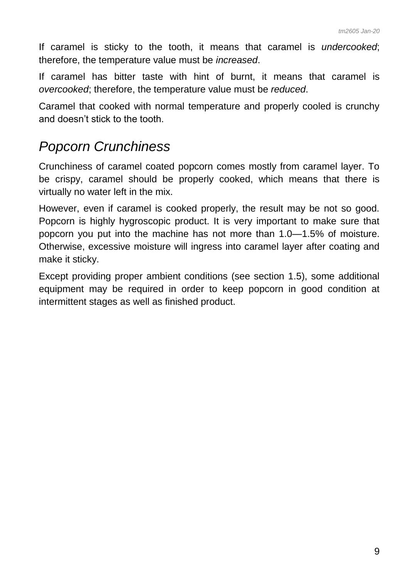If caramel is sticky to the tooth, it means that caramel is *undercooked*; therefore, the temperature value must be *increased*.

If caramel has bitter taste with hint of burnt, it means that caramel is *overcooked*; therefore, the temperature value must be *reduced*.

Caramel that cooked with normal temperature and properly cooled is crunchy and doesn't stick to the tooth.

#### *Popcorn Crunchiness*

Crunchiness of caramel coated popcorn comes mostly from caramel layer. To be crispy, caramel should be properly cooked, which means that there is virtually no water left in the mix.

However, even if caramel is cooked properly, the result may be not so good. Popcorn is highly hygroscopic product. It is very important to make sure that popcorn you put into the machine has not more than 1.0—1.5% of moisture. Otherwise, excessive moisture will ingress into caramel layer after coating and make it sticky.

Except providing proper ambient conditions (see section 1.5), some additional equipment may be required in order to keep popcorn in good condition at intermittent stages as well as finished product.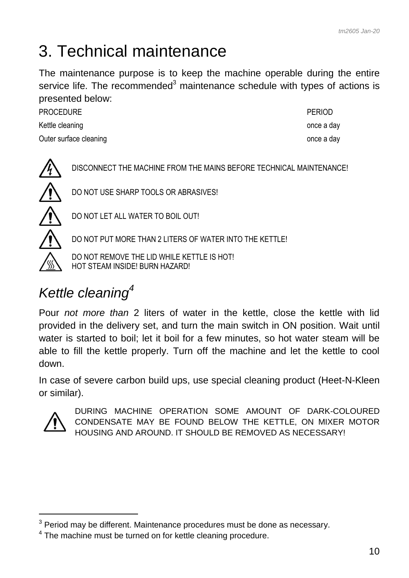### <span id="page-9-0"></span>3. Technical maintenance

The maintenance purpose is to keep the machine operable during the entire service life. The recommended<sup>3</sup> maintenance schedule with types of actions is presented below:

PROCEDURE **PROCEDURE** Kettle cleaning and the state of the state of the state of the state of the state once a day Outer surface cleaning and the state of the state of the state once a day

DISCONNECT THE MACHINE FROM THE MAINS BEFORE TECHNICAL MAINTENANCE! DO NOT USE SHARP TOOLS OR ABRASIVES! DO NOT LET ALL WATER TO BOIL OUT! DO NOT PUT MORE THAN 2 LITERS OF WATER INTO THE KETTLE!

DO NOT REMOVE THE LID WHILE KETTLE IS HOT! HOT STEAM INSIDE! BURN HAZARD!

### *Kettle cleaning<sup>4</sup>*

Pour *not more than* 2 liters of water in the kettle, close the kettle with lid provided in the delivery set, and turn the main switch in ON position. Wait until water is started to boil; let it boil for a few minutes, so hot water steam will be able to fill the kettle properly. Turn off the machine and let the kettle to cool down.

In case of severe carbon build ups, use special cleaning product (Heet-N-Kleen or similar).



-

DURING MACHINE OPERATION SOME AMOUNT OF DARK-COLOURED CONDENSATE MAY BE FOUND BELOW THE KETTLE, ON MIXER MOTOR HOUSING AND AROUND. IT SHOULD BE REMOVED AS NECESSARY!

 $3$  Period may be different. Maintenance procedures must be done as necessary.

 $4$  The machine must be turned on for kettle cleaning procedure.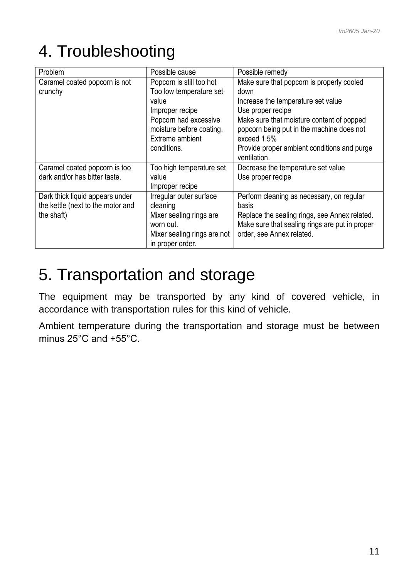# <span id="page-10-0"></span>4. Troubleshooting

| Problem                           | Possible cause                                  | Possible remedy                                                                                 |
|-----------------------------------|-------------------------------------------------|-------------------------------------------------------------------------------------------------|
| Caramel coated popcorn is not     | Popcorn is still too hot                        | Make sure that popcorn is properly cooled                                                       |
| crunchy                           | Too low temperature set                         | down                                                                                            |
|                                   | value                                           | Increase the temperature set value                                                              |
|                                   | Improper recipe                                 | Use proper recipe                                                                               |
|                                   | Popcorn had excessive                           | Make sure that moisture content of popped                                                       |
|                                   | moisture before coating.                        | popcorn being put in the machine does not                                                       |
|                                   | Extreme ambient                                 | exceed 1.5%                                                                                     |
|                                   | conditions.                                     | Provide proper ambient conditions and purge<br>ventilation.                                     |
| Caramel coated popcorn is too     | Too high temperature set                        | Decrease the temperature set value                                                              |
| dark and/or has bitter taste.     | value                                           | Use proper recipe                                                                               |
|                                   | Improper recipe                                 |                                                                                                 |
| Dark thick liquid appears under   | Irregular outer surface                         | Perform cleaning as necessary, on regular                                                       |
| the kettle (next to the motor and | cleaning                                        | <b>basis</b>                                                                                    |
| the shaft)                        | Mixer sealing rings are<br>worn out.            | Replace the sealing rings, see Annex related.<br>Make sure that sealing rings are put in proper |
|                                   | Mixer sealing rings are not<br>in proper order. | order, see Annex related.                                                                       |

### <span id="page-10-1"></span>5. Transportation and storage

The equipment may be transported by any kind of covered vehicle, in accordance with transportation rules for this kind of vehicle.

Ambient temperature during the transportation and storage must be between minus 25°C and +55°C.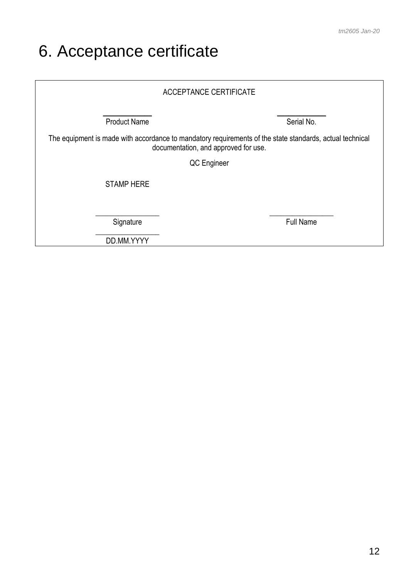# <span id="page-11-0"></span>6. Acceptance certificate

| <b>ACCEPTANCE CERTIFICATE</b>                                                                                                                    |                  |  |
|--------------------------------------------------------------------------------------------------------------------------------------------------|------------------|--|
| <b>Product Name</b>                                                                                                                              | Serial No.       |  |
| The equipment is made with accordance to mandatory requirements of the state standards, actual technical<br>documentation, and approved for use. |                  |  |
| QC Engineer                                                                                                                                      |                  |  |
| <b>STAMP HERE</b>                                                                                                                                |                  |  |
| Signature                                                                                                                                        | <b>Full Name</b> |  |
| DD.MM.YYYY                                                                                                                                       |                  |  |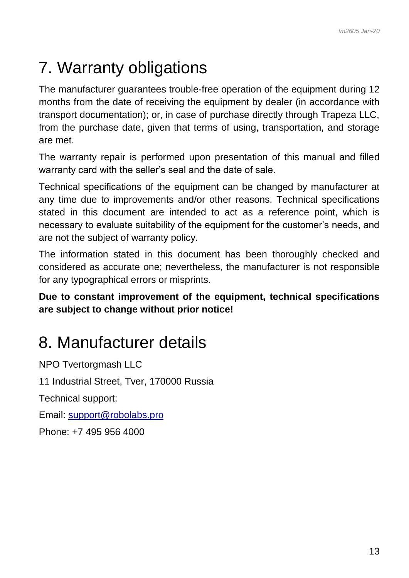# <span id="page-12-0"></span>7. Warranty obligations

The manufacturer guarantees trouble-free operation of the equipment during 12 months from the date of receiving the equipment by dealer (in accordance with transport documentation); or, in case of purchase directly through Trapeza LLC, from the purchase date, given that terms of using, transportation, and storage are met.

The warranty repair is performed upon presentation of this manual and filled warranty card with the seller's seal and the date of sale.

Technical specifications of the equipment can be changed by manufacturer at any time due to improvements and/or other reasons. Technical specifications stated in this document are intended to act as a reference point, which is necessary to evaluate suitability of the equipment for the customer's needs, and are not the subject of warranty policy.

The information stated in this document has been thoroughly checked and considered as accurate one; nevertheless, the manufacturer is not responsible for any typographical errors or misprints.

**Due to constant improvement of the equipment, technical specifications are subject to change without prior notice!**

### <span id="page-12-1"></span>8. Manufacturer details

NPO Tvertorgmash LLC 11 Industrial Street, Tver, 170000 Russia Technical support: Email: [support@robolabs.pro](mailto:support@robolabs.pro) Phone: +7 495 956 4000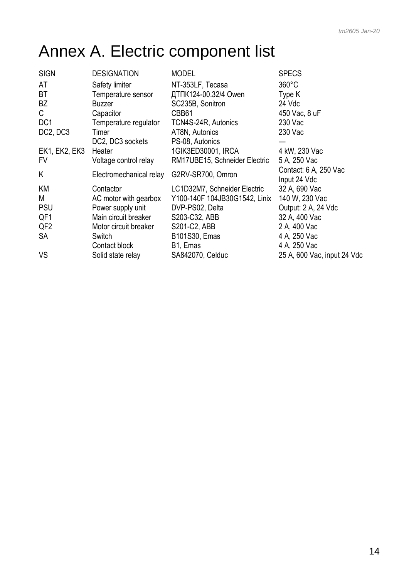# <span id="page-13-0"></span>Annex A. Electric component list

| <b>SIGN</b>                       | <b>DESIGNATION</b>      | <b>MODEL</b>                  | <b>SPECS</b>                 |
|-----------------------------------|-------------------------|-------------------------------|------------------------------|
| AT                                | Safety limiter          | NT-353LF, Tecasa              | $360^{\circ}$ C              |
| ВT                                | Temperature sensor      | ДТПК124-00.32/4 Owen          | Type K                       |
| BZ                                | <b>Buzzer</b>           | SC235B, Sonitron              | 24 Vdc                       |
| C.                                | Capacitor               | CBB61                         | 450 Vac, 8 uF                |
| DC <sub>1</sub>                   | Temperature regulator   | TCN4S-24R, Autonics           | 230 Vac                      |
| DC <sub>2</sub> , DC <sub>3</sub> | Timer                   | AT8N, Autonics                | 230 Vac                      |
|                                   | DC2, DC3 sockets        | PS-08, Autonics               |                              |
| <b>EK1, EK2, EK3</b>              | Heater                  | 1GIK3ED30001, IRCA            | 4 kW, 230 Vac                |
| FV                                | Voltage control relay   | RM17UBE15, Schneider Electric | 5 A, 250 Vac                 |
| Κ                                 | Electromechanical relay | G2RV-SR700, Omron             | Contact: 6 A, 250 Vac        |
|                                   |                         |                               | Input 24 Vdc                 |
| ΚM                                | Contactor               | LC1D32M7, Schneider Electric  | 32 A, 690 Vac                |
| М                                 | AC motor with gearbox   | Y100-140F 104JB30G1542, Linix | 140 W, 230 Vac               |
| <b>PSU</b>                        | Power supply unit       | DVP-PS02, Delta               | Output: 2 A, 24 Vdc          |
| QF1                               | Main circuit breaker    | S203-C32, ABB                 | 32 A, 400 Vac                |
| QF <sub>2</sub>                   | Motor circuit breaker   | S201-C2, ABB                  | 2 A, 400 Vac                 |
| SA                                | Switch<br>Contact block | B101S30, Emas<br>B1, Emas     | 4 A, 250 Vac<br>4 A, 250 Vac |
| VS                                | Solid state relay       | SA842070, Celduc              | 25 A, 600 Vac, input 24 Vdc  |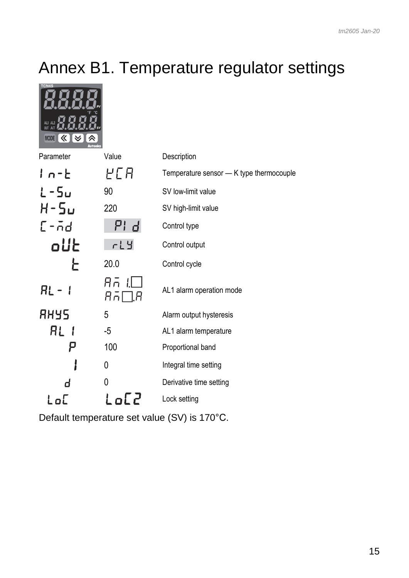# <span id="page-14-0"></span>Annex B1. Temperature regulator settings

TCN4S<br>
TCN4S

| K┃≫<br><b>MODE</b><br><b>Autonics</b> |                           |                                          |
|---------------------------------------|---------------------------|------------------------------------------|
| Parameter                             | Value                     | Description                              |
| $1n-E$                                | HCA                       | Temperature sensor - K type thermocouple |
| L-5u                                  | 90                        | SV low-limit value                       |
| $H - 5U$                              | 220                       | SV high-limit value                      |
| $L - \bar{n}d$                        | PId                       | Control type                             |
| oUŁ                                   | $rL$ $4$                  | Control output                           |
| ┝                                     | 20.0                      | Control cycle                            |
| RL -                                  | Aā<br>$A \bar{\cap} \Box$ | AL1 alarm operation mode                 |
| <b>RHYS</b>                           | 5                         | Alarm output hysteresis                  |
| RL I                                  | $-5$                      | AL1 alarm temperature                    |
| p                                     | 100                       | Proportional band                        |
|                                       | 0                         | Integral time setting                    |
|                                       | 0                         | Derivative time setting                  |
| LoL                                   | Lo[2                      | Lock setting                             |

Default temperature set value (SV) is 170°С.